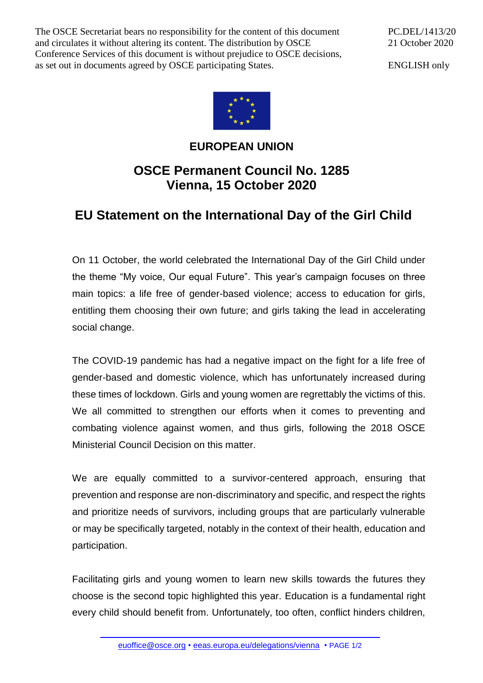The OSCE Secretariat bears no responsibility for the content of this document and circulates it without altering its content. The distribution by OSCE Conference Services of this document is without prejudice to OSCE decisions, as set out in documents agreed by OSCE participating States.

PC.DEL/1413/20 21 October 2020

ENGLISH only



## **EUROPEAN UNION**

## **OSCE Permanent Council No. 1285 Vienna, 15 October 2020**

## **EU Statement on the International Day of the Girl Child**

On 11 October, the world celebrated the International Day of the Girl Child under the theme "My voice, Our equal Future". This year's campaign focuses on three main topics: a life free of gender-based violence; access to education for girls, entitling them choosing their own future; and girls taking the lead in accelerating social change.

The COVID-19 pandemic has had a negative impact on the fight for a life free of gender-based and domestic violence, which has unfortunately increased during these times of lockdown. Girls and young women are regrettably the victims of this. We all committed to strengthen our efforts when it comes to preventing and combating violence against women, and thus girls, following the 2018 OSCE Ministerial Council Decision on this matter.

We are equally committed to a survivor-centered approach, ensuring that prevention and response are non-discriminatory and specific, and respect the rights and prioritize needs of survivors, including groups that are particularly vulnerable or may be specifically targeted, notably in the context of their health, education and participation.

Facilitating girls and young women to learn new skills towards the futures they choose is the second topic highlighted this year. Education is a fundamental right every child should benefit from. Unfortunately, too often, conflict hinders children,